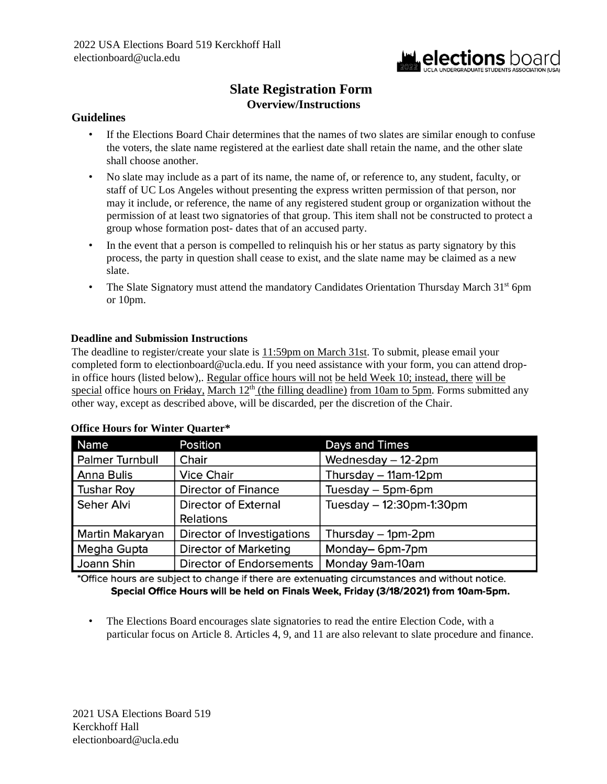

## **Slate Registration Form Overview/Instructions**

### **Guidelines**

- If the Elections Board Chair determines that the names of two slates are similar enough to confuse the voters, the slate name registered at the earliest date shall retain the name, and the other slate shall choose another.
- No slate may include as a part of its name, the name of, or reference to, any student, faculty, or staff of UC Los Angeles without presenting the express written permission of that person, nor may it include, or reference, the name of any registered student group or organization without the permission of at least two signatories of that group. This item shall not be constructed to protect a group whose formation post- dates that of an accused party.
- In the event that a person is compelled to relinquish his or her status as party signatory by this process, the party in question shall cease to exist, and the slate name may be claimed as a new slate.
- The Slate Signatory must attend the mandatory Candidates Orientation Thursday March  $31<sup>st</sup>$  6pm or 10pm.

### **Deadline and Submission Instructions**

The deadline to register/create your slate is 11:59pm on March 31st. To submit, please email your completed form to electionboard@ucla.edu. If you need assistance with your form, you can attend dropin office hours (listed below),. Regular office hours will not be held Week 10; instead, there will be special office hours on Friday, March 12<sup>th</sup> (the filling deadline) from 10am to 5pm. Forms submitted any other way, except as described above, will be discarded, per the discretion of the Chair.

| Name                   | <b>Position</b>                 | Days and Times           |
|------------------------|---------------------------------|--------------------------|
| <b>Palmer Turnbull</b> | Chair                           | Wednesday - 12-2pm       |
| Anna Bulis             | <b>Vice Chair</b>               | Thursday - 11am-12pm     |
| <b>Tushar Roy</b>      | <b>Director of Finance</b>      | Tuesday – 5pm-6pm        |
| Seher Alvi             | <b>Director of External</b>     | Tuesday - 12:30pm-1:30pm |
|                        | <b>Relations</b>                |                          |
| Martin Makaryan        | Director of Investigations      | Thursday - 1pm-2pm       |
| Megha Gupta            | <b>Director of Marketing</b>    | Monday-6pm-7pm           |
| Joann Shin             | <b>Director of Endorsements</b> | Monday 9am-10am          |

### **Office Hours for Winter Quarter\***

\*Office hours are subject to change if there are extenuating circumstances and without notice. Special Office Hours will be held on Finals Week, Friday (3/18/2021) from 10am-5pm.

• The Elections Board encourages slate signatories to read the entire Election Code, with a particular focus on Article 8. Articles 4, 9, and 11 are also relevant to slate procedure and finance.